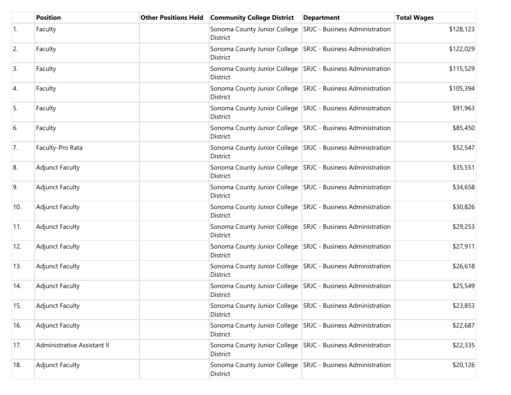|     | <b>Position</b>             | <b>Other Positions Held</b> | <b>Community College District</b>                                                | <b>Department</b>                                             | <b>Total Wages</b> |
|-----|-----------------------------|-----------------------------|----------------------------------------------------------------------------------|---------------------------------------------------------------|--------------------|
| 1.  | Faculty                     |                             | Sonoma County Junior College   SRJC - Business Administration<br>District        |                                                               | \$128,123          |
| 2.  | Faculty                     |                             | Sonoma County Junior College SRJC - Business Administration<br>District          |                                                               | \$122,029          |
| 3.  | Faculty                     |                             | Sonoma County Junior College   SRJC - Business Administration<br>District        |                                                               | \$115,529          |
| 4.  | Faculty                     |                             | Sonoma County Junior College   SRJC - Business Administration<br>District        |                                                               | \$105,394          |
| 5.  | Faculty                     |                             | Sonoma County Junior College   SRJC - Business Administration<br>District        |                                                               | \$91,963           |
| 6.  | Faculty                     |                             | Sonoma County Junior College   SRJC - Business Administration<br>District        |                                                               | \$85,450           |
| 7.  | Faculty-Pro Rata            |                             | District                                                                         | Sonoma County Junior College   SRJC - Business Administration | \$52,547           |
| 8.  | <b>Adjunct Faculty</b>      |                             | Sonoma County Junior College   SRJC - Business Administration<br>District        |                                                               | \$35,551           |
| 9.  | <b>Adjunct Faculty</b>      |                             | Sonoma County Junior College   SRJC - Business Administration<br>District        |                                                               | \$34,658           |
| 10. | <b>Adjunct Faculty</b>      |                             | Sonoma County Junior College   SRJC - Business Administration<br>District        |                                                               | \$30,826           |
| 11. | <b>Adjunct Faculty</b>      |                             | Sonoma County Junior College   SRJC - Business Administration<br>District        |                                                               | \$29,253           |
| 12. | <b>Adjunct Faculty</b>      |                             | Sonoma County Junior College   SRJC - Business Administration<br>District        |                                                               | \$27,911           |
| 13. | <b>Adjunct Faculty</b>      |                             | Sonoma County Junior College   SRJC - Business Administration<br>District        |                                                               | \$26,618           |
| 14. | <b>Adjunct Faculty</b>      |                             | Sonoma County Junior College SRJC - Business Administration<br>District          |                                                               | \$25,549           |
| 15. | <b>Adjunct Faculty</b>      |                             | Sonoma County Junior College   SRJC - Business Administration<br>District        |                                                               | \$23,853           |
| 16. | <b>Adjunct Faculty</b>      |                             | Sonoma County Junior College   SRJC - Business Administration<br><b>District</b> |                                                               | \$22,687           |
| 17. | Administrative Assistant II |                             | Sonoma County Junior College   SRJC - Business Administration<br>District        |                                                               | \$22,335           |
| 18. | <b>Adjunct Faculty</b>      |                             | Sonoma County Junior College   SRJC - Business Administration<br>District        |                                                               | \$20,126           |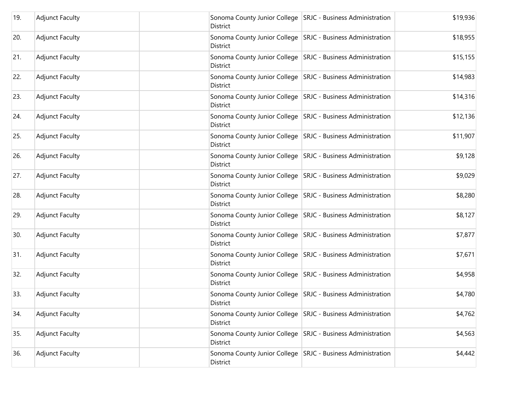| 19. | <b>Adjunct Faculty</b> | <b>District</b> | Sonoma County Junior College   SRJC - Business Administration | \$19,936 |
|-----|------------------------|-----------------|---------------------------------------------------------------|----------|
| 20. | <b>Adjunct Faculty</b> | <b>District</b> | Sonoma County Junior College   SRJC - Business Administration | \$18,955 |
| 21. | <b>Adjunct Faculty</b> | District        | Sonoma County Junior College   SRJC - Business Administration | \$15,155 |
| 22. | <b>Adjunct Faculty</b> | District        | Sonoma County Junior College   SRJC - Business Administration | \$14,983 |
| 23. | <b>Adjunct Faculty</b> | District        | Sonoma County Junior College   SRJC - Business Administration | \$14,316 |
| 24. | <b>Adjunct Faculty</b> | <b>District</b> | Sonoma County Junior College   SRJC - Business Administration | \$12,136 |
| 25. | <b>Adjunct Faculty</b> | <b>District</b> | Sonoma County Junior College   SRJC - Business Administration | \$11,907 |
| 26. | <b>Adjunct Faculty</b> | <b>District</b> | Sonoma County Junior College   SRJC - Business Administration | \$9,128  |
| 27. | <b>Adjunct Faculty</b> | District        | Sonoma County Junior College   SRJC - Business Administration | \$9,029  |
| 28. | <b>Adjunct Faculty</b> | District        | Sonoma County Junior College   SRJC - Business Administration | \$8,280  |
| 29. | <b>Adjunct Faculty</b> | District        | Sonoma County Junior College   SRJC - Business Administration | \$8,127  |
| 30. | <b>Adjunct Faculty</b> | <b>District</b> | Sonoma County Junior College   SRJC - Business Administration | \$7,877  |
| 31. | <b>Adjunct Faculty</b> | <b>District</b> | Sonoma County Junior College   SRJC - Business Administration | \$7,671  |
| 32. | <b>Adjunct Faculty</b> | <b>District</b> | Sonoma County Junior College   SRJC - Business Administration | \$4,958  |
| 33. | <b>Adjunct Faculty</b> | District        | Sonoma County Junior College   SRJC - Business Administration | \$4,780  |
| 34. | <b>Adjunct Faculty</b> | District        | Sonoma County Junior College   SRJC - Business Administration | \$4,762  |
| 35. | <b>Adjunct Faculty</b> | <b>District</b> | Sonoma County Junior College   SRJC - Business Administration | \$4,563  |
| 36. | <b>Adjunct Faculty</b> | District        | Sonoma County Junior College   SRJC - Business Administration | \$4,442  |